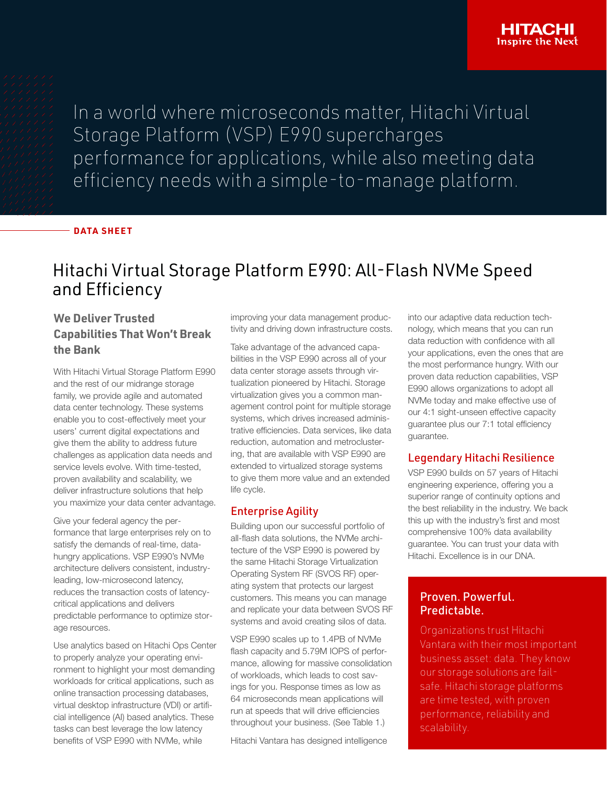In a world where microseconds matter, Hitachi Virtual Storage Platform (VSP) E990 supercharges performance for applications, while also meeting data efficiency needs with a simple-to-manage platform.

#### **DATA SHEET**

# Hitachi Virtual Storage Platform E990: All-Flash NVMe Speed and Efficiency

## **We Deliver Trusted Capabilities That Won't Break the Bank**

With Hitachi Virtual Storage Platform E990 and the rest of our midrange storage family, we provide agile and automated data center technology. These systems enable you to cost-effectively meet your users' current digital expectations and give them the ability to address future challenges as application data needs and service levels evolve. With time-tested, proven availability and scalability, we deliver infrastructure solutions that help you maximize your data center advantage.

Give your federal agency the performance that large enterprises rely on to satisfy the demands of real-time, datahungry applications. VSP E990's NVMe architecture delivers consistent, industryleading, low-microsecond latency, reduces the transaction costs of latencycritical applications and delivers predictable performance to optimize storage resources.

Use analytics based on Hitachi Ops Center to properly analyze your operating environment to highlight your most demanding workloads for critical applications, such as online transaction processing databases, virtual desktop infrastructure (VDI) or artificial intelligence (AI) based analytics. These tasks can best leverage the low latency benefits of VSP E990 with NVMe, while

improving your data management productivity and driving down infrastructure costs.

Take advantage of the advanced capabilities in the VSP E990 across all of your data center storage assets through virtualization pioneered by Hitachi. Storage virtualization gives you a common management control point for multiple storage systems, which drives increased administrative efficiencies. Data services, like data reduction, automation and metroclustering, that are available with VSP E990 are extended to virtualized storage systems to give them more value and an extended life cycle.

## Enterprise Agility

Building upon our successful portfolio of all-flash data solutions, the NVMe architecture of the VSP E990 is powered by the same Hitachi Storage Virtualization Operating System RF (SVOS RF) operating system that protects our largest customers. This means you can manage and replicate your data between SVOS RF systems and avoid creating silos of data.

VSP E990 scales up to 1.4PB of NVMe flash capacity and 5.79M IOPS of performance, allowing for massive consolidation of workloads, which leads to cost savings for you. Response times as low as 64 microseconds mean applications will run at speeds that will drive efficiencies throughout your business. (See Table 1.)

Hitachi Vantara has designed intelligence

into our adaptive data reduction technology, which means that you can run data reduction with confidence with all your applications, even the ones that are the most performance hungry. With our proven data reduction capabilities, VSP E990 allows organizations to adopt all NVMe today and make effective use of our 4:1 sight-unseen effective capacity guarantee plus our 7:1 total efficiency guarantee.

### Legendary Hitachi Resilience

VSP E990 builds on 57 years of Hitachi engineering experience, offering you a superior range of continuity options and the best reliability in the industry. We back this up with the industry's first and most comprehensive 100% data availability guarantee. You can trust your data with Hitachi. Excellence is in our DNA.

## Proven. Powerful. Predictable.

Organizations trust Hitachi Vantara with their most important business asset: data. They know our storage solutions are failsafe. Hitachi storage platforms are time tested, with proven performance, reliability and scalability.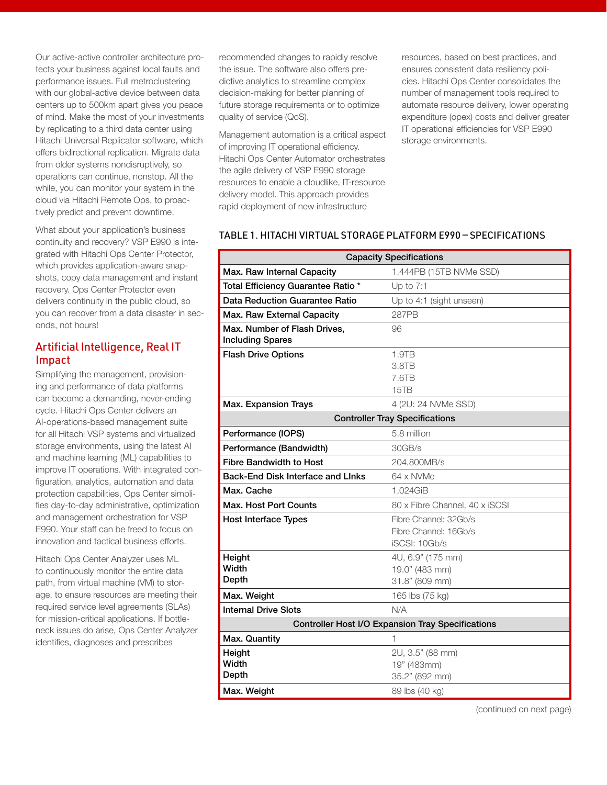Our active-active controller architecture protects your business against local faults and performance issues. Full metroclustering with our global-active device between data centers up to 500km apart gives you peace of mind. Make the most of your investments by replicating to a third data center using Hitachi Universal Replicator software, which offers bidirectional replication. Migrate data from older systems nondisruptively, so operations can continue, nonstop. All the while, you can monitor your system in the cloud via Hitachi Remote Ops, to proactively predict and prevent downtime.

What about your application's business continuity and recovery? VSP E990 is integrated with Hitachi Ops Center Protector, which provides application-aware snapshots, copy data management and instant recovery. Ops Center Protector even delivers continuity in the public cloud, so you can recover from a data disaster in seconds, not hours!

## Artificial Intelligence, Real IT Impact

Simplifying the management, provisioning and performance of data platforms can become a demanding, never-ending cycle. Hitachi Ops Center delivers an AI-operations-based management suite for all Hitachi VSP systems and virtualized storage environments, using the latest AI and machine learning (ML) capabilities to improve IT operations. With integrated configuration, analytics, automation and data protection capabilities, Ops Center simplifies day-to-day administrative, optimization and management orchestration for VSP E990. Your staff can be freed to focus on innovation and tactical business efforts.

Hitachi Ops Center Analyzer uses ML to continuously monitor the entire data path, from virtual machine (VM) to storage, to ensure resources are meeting their required service level agreements (SLAs) for mission-critical applications. If bottleneck issues do arise, Ops Center Analyzer identifies, diagnoses and prescribes

recommended changes to rapidly resolve the issue. The software also offers predictive analytics to streamline complex decision-making for better planning of future storage requirements or to optimize quality of service (QoS).

Management automation is a critical aspect of improving IT operational efficiency. Hitachi Ops Center Automator orchestrates the agile delivery of VSP E990 storage resources to enable a cloudlike, IT-resource delivery model. This approach provides rapid deployment of new infrastructure

resources, based on best practices, and ensures consistent data resiliency policies. Hitachi Ops Center consolidates the number of management tools required to automate resource delivery, lower operating expenditure (opex) costs and deliver greater IT operational efficiencies for VSP E990 storage environments.

#### TABLE 1. HITACHI VIRTUAL STORAGE PLATFORM E990 — SPECIFICATIONS

| <b>Capacity Specifications</b>                           |                                                                 |  |
|----------------------------------------------------------|-----------------------------------------------------------------|--|
| Max. Raw Internal Capacity                               | 1.444PB (15TB NVMe SSD)                                         |  |
| Total Efficiency Guarantee Ratio *                       | Up to $7:1$                                                     |  |
| Data Reduction Guarantee Ratio                           | Up to 4:1 (sight unseen)                                        |  |
| Max. Raw External Capacity                               | <b>287PB</b>                                                    |  |
| Max. Number of Flash Drives,<br><b>Including Spares</b>  | 96                                                              |  |
| <b>Flash Drive Options</b>                               | 1.9TB<br>3.8TB<br>7.6TB<br>15TB                                 |  |
| Max. Expansion Trays                                     | 4 (2U: 24 NVMe SSD)                                             |  |
| <b>Controller Tray Specifications</b>                    |                                                                 |  |
| Performance (IOPS)                                       | 5.8 million                                                     |  |
| Performance (Bandwidth)                                  | 30GB/s                                                          |  |
| <b>Fibre Bandwidth to Host</b>                           | 204,800MB/s                                                     |  |
| <b>Back-End Disk Interface and Links</b>                 | 64 x NVMe                                                       |  |
| Max. Cache                                               | 1,024GiB                                                        |  |
| Max. Host Port Counts                                    | 80 x Fibre Channel, 40 x iSCSI                                  |  |
| <b>Host Interface Types</b>                              | Fibre Channel: 32Gb/s<br>Fibre Channel: 16Gb/s<br>iSCSI: 10Gb/s |  |
| Height<br>Width<br>Depth                                 | 4U, 6.9" (175 mm)<br>19.0" (483 mm)<br>31.8" (809 mm)           |  |
| Max. Weight                                              | 165 lbs (75 kg)                                                 |  |
| <b>Internal Drive Slots</b>                              | N/A                                                             |  |
| <b>Controller Host I/O Expansion Tray Specifications</b> |                                                                 |  |
| Max. Quantity                                            | 1                                                               |  |
| Height<br>Width<br>Depth                                 | 2U, 3.5" (88 mm)<br>19" (483mm)<br>35.2" (892 mm)               |  |
| Max. Weight                                              | 89 lbs (40 kg)                                                  |  |

(continued on next page)